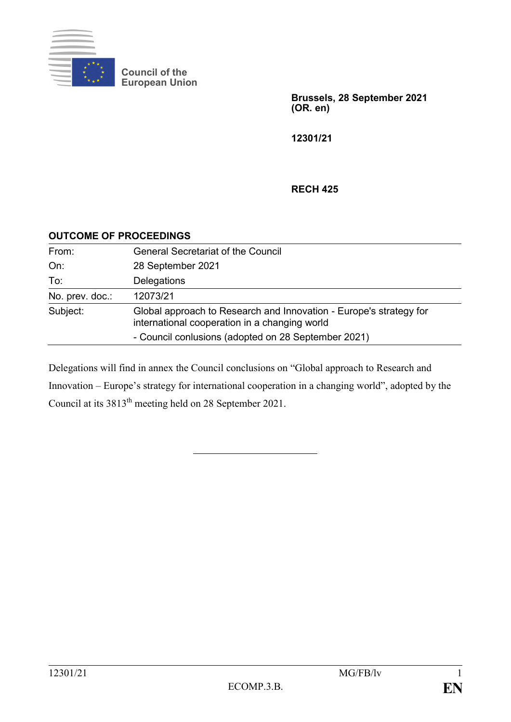

**Council of the European Union**

> **Brussels, 28 September 2021 (OR. en)**

**12301/21**

#### **RECH 425**

#### **OUTCOME OF PROCEEDINGS**

| From:           | <b>General Secretariat of the Council</b>                                                                           |
|-----------------|---------------------------------------------------------------------------------------------------------------------|
| On:             | 28 September 2021                                                                                                   |
| To:             | Delegations                                                                                                         |
| No. prev. doc.: | 12073/21                                                                                                            |
| Subject:        | Global approach to Research and Innovation - Europe's strategy for<br>international cooperation in a changing world |
|                 | - Council conlusions (adopted on 28 September 2021)                                                                 |

Delegations will find in annex the Council conclusions on "Global approach to Research and Innovation – Europe's strategy for international cooperation in a changing world", adopted by the Council at its 3813th meeting held on 28 September 2021.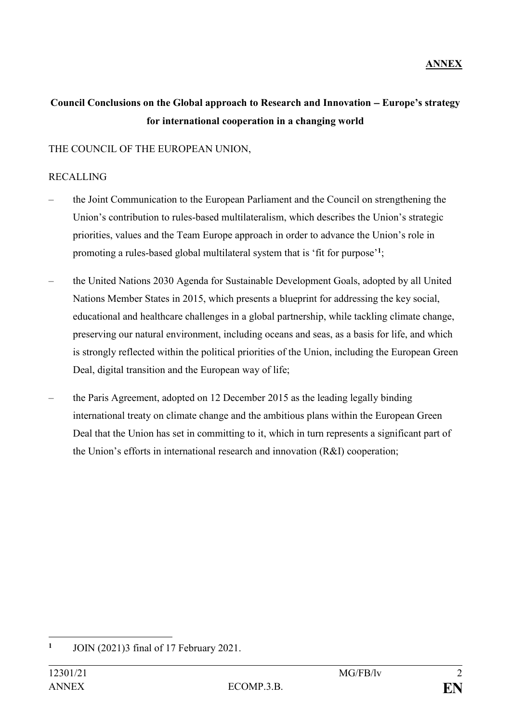# Council Conclusions on the Global approach to Research and Innovation – Europe's strategy **for international cooperation in a changing world**

## THE COUNCIL OF THE EUROPEAN UNION,

#### RECALLING

- the Joint Communication to the European Parliament and the Council on strengthening the Union's contribution to rules-based multilateralism, which describes the Union's strategic priorities, values and the Team Europe approach in order to advance the Union's role in promoting a rules-based global multilateral system that is 'fit for purpose'**<sup>1</sup>** ;
- the United Nations 2030 Agenda for Sustainable Development Goals, adopted by all United Nations Member States in 2015, which presents a blueprint for addressing the key social, educational and healthcare challenges in a global partnership, while tackling climate change, preserving our natural environment, including oceans and seas, as a basis for life, and which is strongly reflected within the political priorities of the Union, including the European Green Deal, digital transition and the European way of life;
- the Paris Agreement, adopted on 12 December 2015 as the leading legally binding international treaty on climate change and the ambitious plans within the European Green Deal that the Union has set in committing to it, which in turn represents a significant part of the Union's efforts in international research and innovation (R&I) cooperation;

<sup>&</sup>lt;u>.</u> **1** JOIN (2021)3 final of 17 February 2021.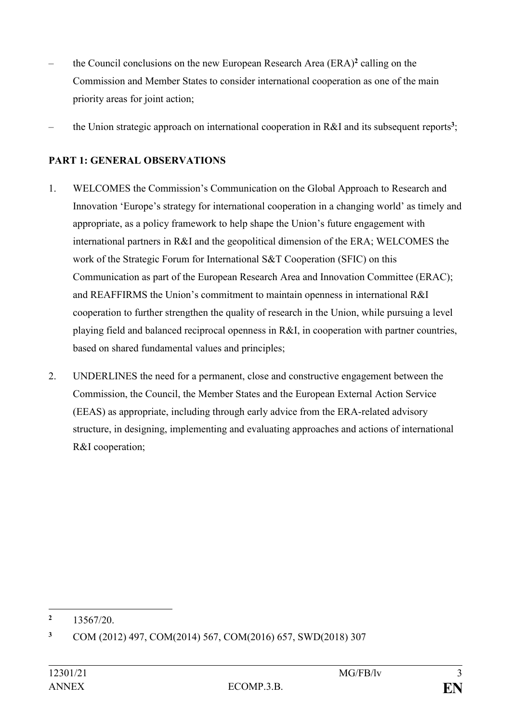- the Council conclusions on the new European Research Area (ERA)**<sup>2</sup>** calling on the Commission and Member States to consider international cooperation as one of the main priority areas for joint action;
- the Union strategic approach on international cooperation in R&I and its subsequent reports**<sup>3</sup>** ;

# **PART 1: GENERAL OBSERVATIONS**

- 1. WELCOMES the Commission's Communication on the Global Approach to Research and Innovation 'Europe's strategy for international cooperation in a changing world' as timely and appropriate, as a policy framework to help shape the Union's future engagement with international partners in R&I and the geopolitical dimension of the ERA; WELCOMES the work of the Strategic Forum for International S&T Cooperation (SFIC) on this Communication as part of the European Research Area and Innovation Committee (ERAC); and REAFFIRMS the Union's commitment to maintain openness in international R&I cooperation to further strengthen the quality of research in the Union, while pursuing a level playing field and balanced reciprocal openness in R&I, in cooperation with partner countries, based on shared fundamental values and principles;
- 2. UNDERLINES the need for a permanent, close and constructive engagement between the Commission, the Council, the Member States and the European External Action Service (EEAS) as appropriate, including through early advice from the ERA-related advisory structure, in designing, implementing and evaluating approaches and actions of international R&I cooperation;

<sup>1</sup> **<sup>2</sup>** 13567/20.

**<sup>3</sup>** COM (2012) 497, COM(2014) 567, COM(2016) 657, SWD(2018) 307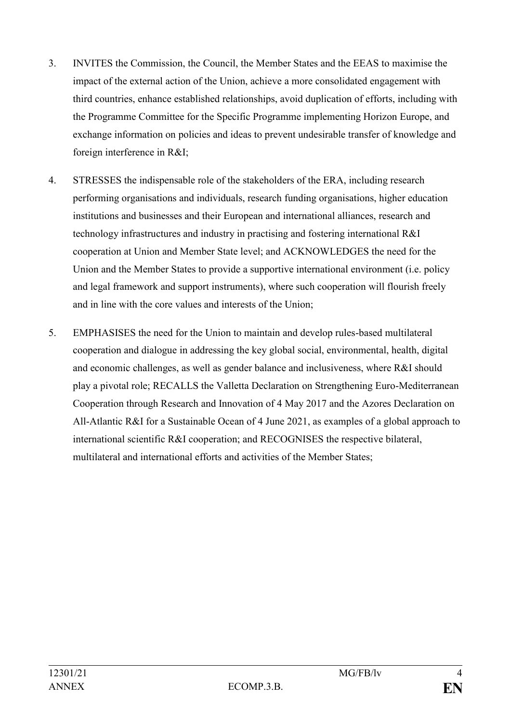- 3. INVITES the Commission, the Council, the Member States and the EEAS to maximise the impact of the external action of the Union, achieve a more consolidated engagement with third countries, enhance established relationships, avoid duplication of efforts, including with the Programme Committee for the Specific Programme implementing Horizon Europe, and exchange information on policies and ideas to prevent undesirable transfer of knowledge and foreign interference in R&I;
- 4. STRESSES the indispensable role of the stakeholders of the ERA, including research performing organisations and individuals, research funding organisations, higher education institutions and businesses and their European and international alliances, research and technology infrastructures and industry in practising and fostering international R&I cooperation at Union and Member State level; and ACKNOWLEDGES the need for the Union and the Member States to provide a supportive international environment (i.e. policy and legal framework and support instruments), where such cooperation will flourish freely and in line with the core values and interests of the Union;
- 5. EMPHASISES the need for the Union to maintain and develop rules-based multilateral cooperation and dialogue in addressing the key global social, environmental, health, digital and economic challenges, as well as gender balance and inclusiveness, where R&I should play a pivotal role; RECALLS the Valletta Declaration on Strengthening Euro-Mediterranean Cooperation through Research and Innovation of 4 May 2017 and the Azores Declaration on All-Atlantic R&I for a Sustainable Ocean of 4 June 2021, as examples of a global approach to international scientific R&I cooperation; and RECOGNISES the respective bilateral, multilateral and international efforts and activities of the Member States;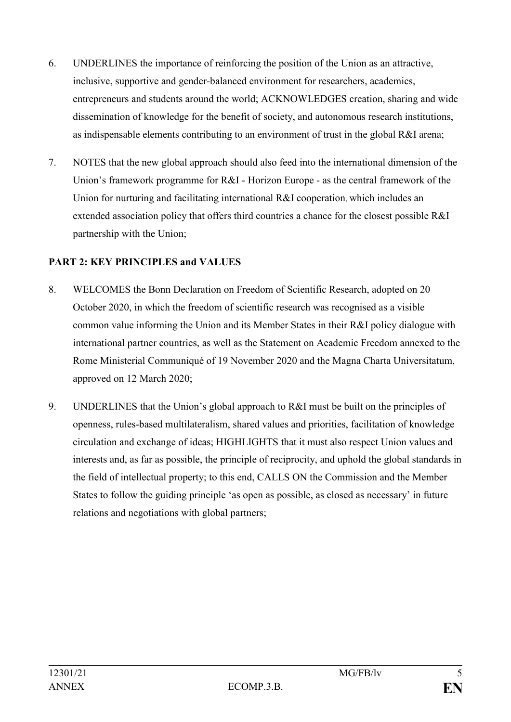- 6. UNDERLINES the importance of reinforcing the position of the Union as an attractive, inclusive, supportive and gender-balanced environment for researchers, academics, entrepreneurs and students around the world; ACKNOWLEDGES creation, sharing and wide dissemination of knowledge for the benefit of society, and autonomous research institutions, as indispensable elements contributing to an environment of trust in the global R&I arena;
- 7. NOTES that the new global approach should also feed into the international dimension of the Union's framework programme for R&I - Horizon Europe - as the central framework of the Union for nurturing and facilitating international R&I cooperation, which includes an extended association policy that offers third countries a chance for the closest possible R&I partnership with the Union;

# **PART 2: KEY PRINCIPLES and VALUES**

- 8. WELCOMES the Bonn Declaration on Freedom of Scientific Research, adopted on 20 October 2020, in which the freedom of scientific research was recognised as a visible common value informing the Union and its Member States in their R&I policy dialogue with international partner countries, as well as the Statement on Academic Freedom annexed to the Rome Ministerial Communiqué of 19 November 2020 and the Magna Charta Universitatum, approved on 12 March 2020;
- 9. UNDERLINES that the Union's global approach to R&I must be built on the principles of openness, rules-based multilateralism, shared values and priorities, facilitation of knowledge circulation and exchange of ideas; HIGHLIGHTS that it must also respect Union values and interests and, as far as possible, the principle of reciprocity, and uphold the global standards in the field of intellectual property; to this end, CALLS ON the Commission and the Member States to follow the guiding principle 'as open as possible, as closed as necessary' in future relations and negotiations with global partners;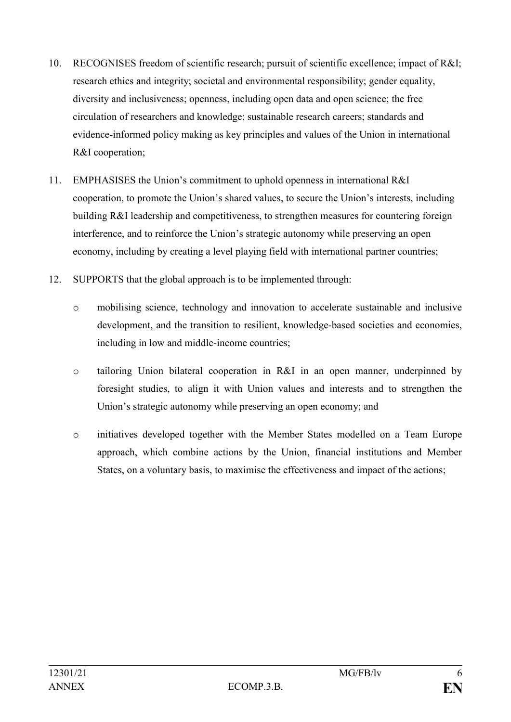- 10. RECOGNISES freedom of scientific research; pursuit of scientific excellence; impact of R&I; research ethics and integrity; societal and environmental responsibility; gender equality, diversity and inclusiveness; openness, including open data and open science; the free circulation of researchers and knowledge; sustainable research careers; standards and evidence-informed policy making as key principles and values of the Union in international R&I cooperation;
- 11. EMPHASISES the Union's commitment to uphold openness in international R&I cooperation, to promote the Union's shared values, to secure the Union's interests, including building R&I leadership and competitiveness, to strengthen measures for countering foreign interference, and to reinforce the Union's strategic autonomy while preserving an open economy, including by creating a level playing field with international partner countries;
- 12. SUPPORTS that the global approach is to be implemented through:
	- o mobilising science, technology and innovation to accelerate sustainable and inclusive development, and the transition to resilient, knowledge-based societies and economies, including in low and middle-income countries;
	- o tailoring Union bilateral cooperation in R&I in an open manner, underpinned by foresight studies, to align it with Union values and interests and to strengthen the Union's strategic autonomy while preserving an open economy; and
	- o initiatives developed together with the Member States modelled on a Team Europe approach, which combine actions by the Union, financial institutions and Member States, on a voluntary basis, to maximise the effectiveness and impact of the actions;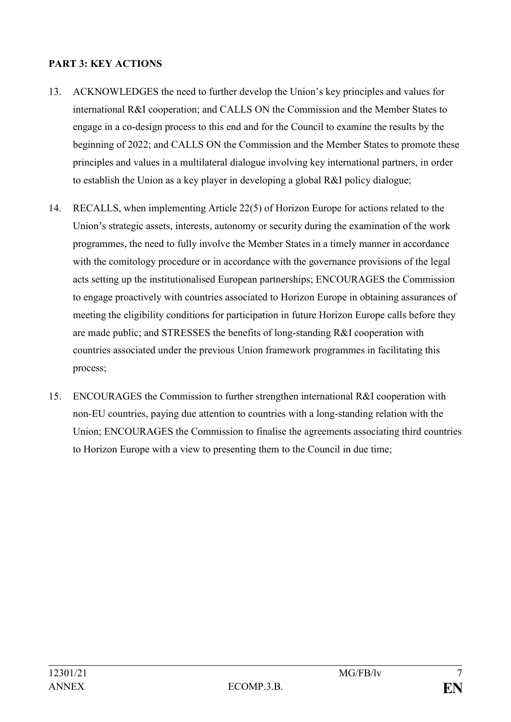## **PART 3: KEY ACTIONS**

- 13. ACKNOWLEDGES the need to further develop the Union's key principles and values for international R&I cooperation; and CALLS ON the Commission and the Member States to engage in a co-design process to this end and for the Council to examine the results by the beginning of 2022; and CALLS ON the Commission and the Member States to promote these principles and values in a multilateral dialogue involving key international partners, in order to establish the Union as a key player in developing a global R&I policy dialogue;
- 14. RECALLS, when implementing Article 22(5) of Horizon Europe for actions related to the Union's strategic assets, interests, autonomy or security during the examination of the work programmes, the need to fully involve the Member States in a timely manner in accordance with the comitology procedure or in accordance with the governance provisions of the legal acts setting up the institutionalised European partnerships; ENCOURAGES the Commission to engage proactively with countries associated to Horizon Europe in obtaining assurances of meeting the eligibility conditions for participation in future Horizon Europe calls before they are made public; and STRESSES the benefits of long-standing R&I cooperation with countries associated under the previous Union framework programmes in facilitating this process;
- 15. ENCOURAGES the Commission to further strengthen international R&I cooperation with non-EU countries, paying due attention to countries with a long-standing relation with the Union; ENCOURAGES the Commission to finalise the agreements associating third countries to Horizon Europe with a view to presenting them to the Council in due time;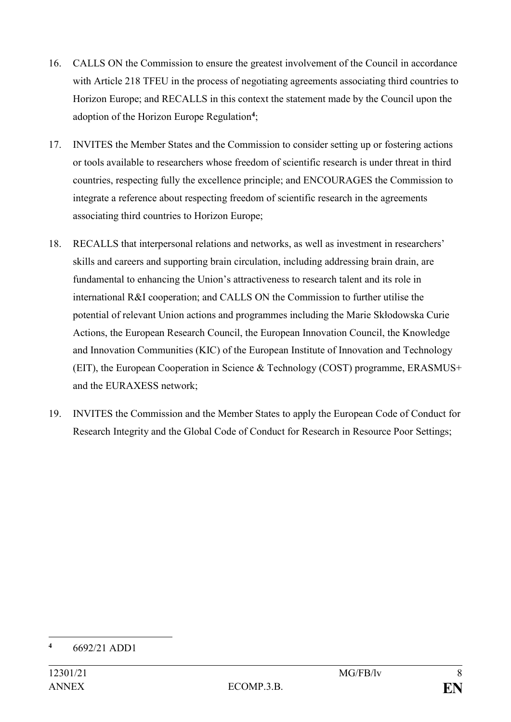- 16. CALLS ON the Commission to ensure the greatest involvement of the Council in accordance with Article 218 TFEU in the process of negotiating agreements associating third countries to Horizon Europe; and RECALLS in this context the statement made by the Council upon the adoption of the Horizon Europe Regulation**<sup>4</sup>** ;
- 17. INVITES the Member States and the Commission to consider setting up or fostering actions or tools available to researchers whose freedom of scientific research is under threat in third countries, respecting fully the excellence principle; and ENCOURAGES the Commission to integrate a reference about respecting freedom of scientific research in the agreements associating third countries to Horizon Europe;
- 18. RECALLS that interpersonal relations and networks, as well as investment in researchers' skills and careers and supporting brain circulation, including addressing brain drain, are fundamental to enhancing the Union's attractiveness to research talent and its role in international R&I cooperation; and CALLS ON the Commission to further utilise the potential of relevant Union actions and programmes including the Marie Skłodowska Curie Actions, the European Research Council, the European Innovation Council, the Knowledge and Innovation Communities (KIC) of the European Institute of Innovation and Technology (EIT), the European Cooperation in Science & Technology (COST) programme, ERASMUS+ and the EURAXESS network;
- 19. INVITES the Commission and the Member States to apply the European Code of Conduct for Research Integrity and the Global Code of Conduct for Research in Resource Poor Settings;

<sup>&</sup>lt;u>.</u> **<sup>4</sup>** 6692/21 ADD1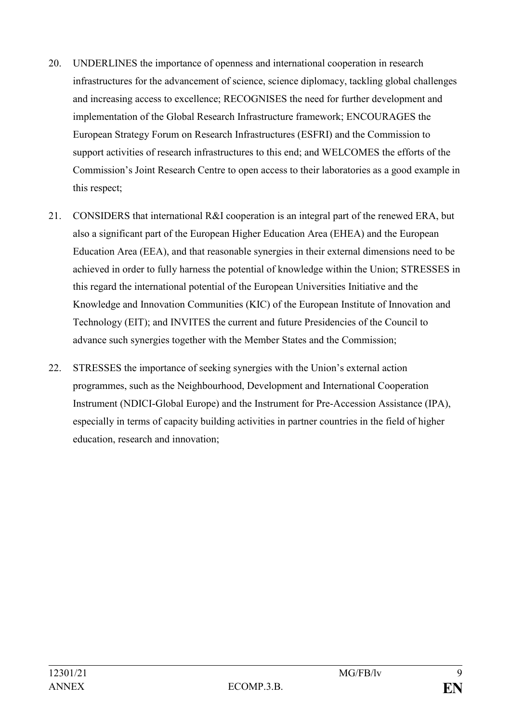- 20. UNDERLINES the importance of openness and international cooperation in research infrastructures for the advancement of science, science diplomacy, tackling global challenges and increasing access to excellence; RECOGNISES the need for further development and implementation of the Global Research Infrastructure framework; ENCOURAGES the European Strategy Forum on Research Infrastructures (ESFRI) and the Commission to support activities of research infrastructures to this end; and WELCOMES the efforts of the Commission's Joint Research Centre to open access to their laboratories as a good example in this respect;
- 21. CONSIDERS that international R&I cooperation is an integral part of the renewed ERA, but also a significant part of the European Higher Education Area (EHEA) and the European Education Area (EEA), and that reasonable synergies in their external dimensions need to be achieved in order to fully harness the potential of knowledge within the Union; STRESSES in this regard the international potential of the European Universities Initiative and the Knowledge and Innovation Communities (KIC) of the European Institute of Innovation and Technology (EIT); and INVITES the current and future Presidencies of the Council to advance such synergies together with the Member States and the Commission;
- 22. STRESSES the importance of seeking synergies with the Union's external action programmes, such as the Neighbourhood, Development and International Cooperation Instrument (NDICI-Global Europe) and the Instrument for Pre-Accession Assistance (IPA), especially in terms of capacity building activities in partner countries in the field of higher education, research and innovation;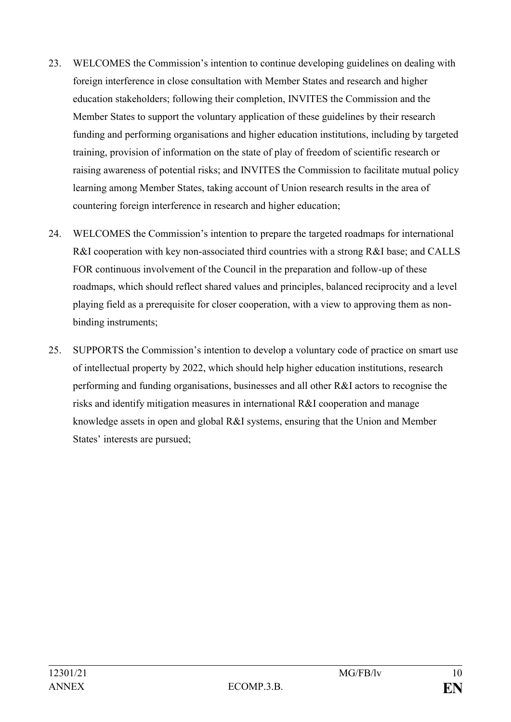- 23. WELCOMES the Commission's intention to continue developing guidelines on dealing with foreign interference in close consultation with Member States and research and higher education stakeholders; following their completion, INVITES the Commission and the Member States to support the voluntary application of these guidelines by their research funding and performing organisations and higher education institutions, including by targeted training, provision of information on the state of play of freedom of scientific research or raising awareness of potential risks; and INVITES the Commission to facilitate mutual policy learning among Member States, taking account of Union research results in the area of countering foreign interference in research and higher education;
- 24. WELCOMES the Commission's intention to prepare the targeted roadmaps for international R&I cooperation with key non-associated third countries with a strong R&I base; and CALLS FOR continuous involvement of the Council in the preparation and follow-up of these roadmaps, which should reflect shared values and principles, balanced reciprocity and a level playing field as a prerequisite for closer cooperation, with a view to approving them as nonbinding instruments;
- 25. SUPPORTS the Commission's intention to develop a voluntary code of practice on smart use of intellectual property by 2022, which should help higher education institutions, research performing and funding organisations, businesses and all other R&I actors to recognise the risks and identify mitigation measures in international R&I cooperation and manage knowledge assets in open and global R&I systems, ensuring that the Union and Member States' interests are pursued;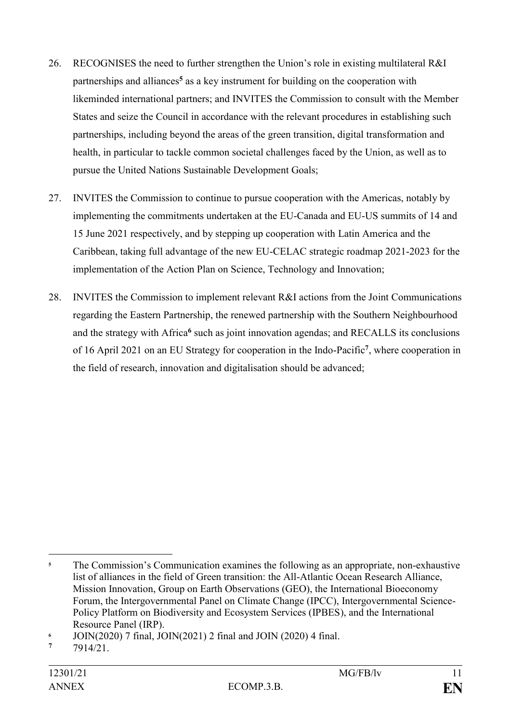- 26. RECOGNISES the need to further strengthen the Union's role in existing multilateral R&I partnerships and alliances**<sup>5</sup>** as a key instrument for building on the cooperation with likeminded international partners; and INVITES the Commission to consult with the Member States and seize the Council in accordance with the relevant procedures in establishing such partnerships, including beyond the areas of the green transition, digital transformation and health, in particular to tackle common societal challenges faced by the Union, as well as to pursue the United Nations Sustainable Development Goals;
- 27. INVITES the Commission to continue to pursue cooperation with the Americas, notably by implementing the commitments undertaken at the EU-Canada and EU-US summits of 14 and 15 June 2021 respectively, and by stepping up cooperation with Latin America and the Caribbean, taking full advantage of the new EU-CELAC strategic roadmap 2021-2023 for the implementation of the Action Plan on Science, Technology and Innovation;
- 28. INVITES the Commission to implement relevant R&I actions from the Joint Communications regarding the Eastern Partnership, the renewed partnership with the Southern Neighbourhood and the strategy with Africa**<sup>6</sup>** such as joint innovation agendas; and RECALLS its conclusions of 16 April 2021 on an EU Strategy for cooperation in the Indo-Pacific**<sup>7</sup>** , where cooperation in the field of research, innovation and digitalisation should be advanced;

<sup>1</sup> <sup>5</sup> The Commission's Communication examines the following as an appropriate, non-exhaustive list of alliances in the field of Green transition: the All-Atlantic Ocean Research Alliance, Mission Innovation, Group on Earth Observations (GEO), the International Bioeconomy Forum, the Intergovernmental Panel on Climate Change (IPCC), Intergovernmental Science-Policy Platform on Biodiversity and Ecosystem Services (IPBES), and the International Resource Panel (IRP).

**<sup>6</sup>** JOIN(2020) 7 final, JOIN(2021) 2 final and JOIN (2020) 4 final.

**<sup>7</sup>** 7914/21.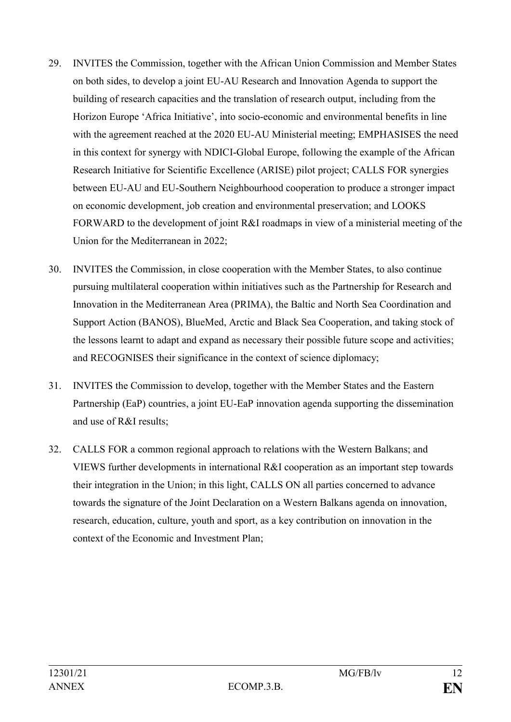- 29. INVITES the Commission, together with the African Union Commission and Member States on both sides, to develop a joint EU-AU Research and Innovation Agenda to support the building of research capacities and the translation of research output, including from the Horizon Europe 'Africa Initiative', into socio-economic and environmental benefits in line with the agreement reached at the 2020 EU-AU Ministerial meeting; EMPHASISES the need in this context for synergy with NDICI-Global Europe, following the example of the African Research Initiative for Scientific Excellence (ARISE) pilot project; CALLS FOR synergies between EU-AU and EU-Southern Neighbourhood cooperation to produce a stronger impact on economic development, job creation and environmental preservation; and LOOKS FORWARD to the development of joint R&I roadmaps in view of a ministerial meeting of the Union for the Mediterranean in 2022;
- 30. INVITES the Commission, in close cooperation with the Member States, to also continue pursuing multilateral cooperation within initiatives such as the Partnership for Research and Innovation in the Mediterranean Area (PRIMA), the Baltic and North Sea Coordination and Support Action (BANOS), BlueMed, Arctic and Black Sea Cooperation, and taking stock of the lessons learnt to adapt and expand as necessary their possible future scope and activities; and RECOGNISES their significance in the context of science diplomacy;
- 31. INVITES the Commission to develop, together with the Member States and the Eastern Partnership (EaP) countries, a joint EU-EaP innovation agenda supporting the dissemination and use of R&I results;
- 32. CALLS FOR a common regional approach to relations with the Western Balkans; and VIEWS further developments in international R&I cooperation as an important step towards their integration in the Union; in this light, CALLS ON all parties concerned to advance towards the signature of the Joint Declaration on a Western Balkans agenda on innovation, research, education, culture, youth and sport, as a key contribution on innovation in the context of the Economic and Investment Plan;